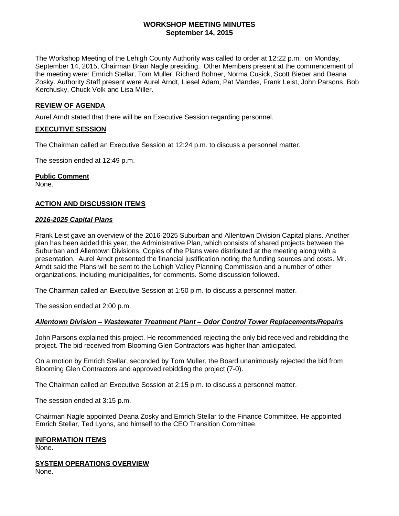## **WORKSHOP MEETING MINUTES September 14, 2015**

The Workshop Meeting of the Lehigh County Authority was called to order at 12:22 p.m., on Monday, September 14, 2015, Chairman Brian Nagle presiding. Other Members present at the commencement of the meeting were: Emrich Stellar, Tom Muller, Richard Bohner, Norma Cusick, Scott Bieber and Deana Zosky. Authority Staff present were Aurel Arndt, Liesel Adam, Pat Mandes, Frank Leist, John Parsons, Bob Kerchusky, Chuck Volk and Lisa Miller.

## **REVIEW OF AGENDA**

Aurel Arndt stated that there will be an Executive Session regarding personnel.

## **EXECUTIVE SESSION**

The Chairman called an Executive Session at 12:24 p.m. to discuss a personnel matter.

The session ended at 12:49 p.m.

**Public Comment** None.

## **ACTION AND DISCUSSION ITEMS**

#### *2016-2025 Capital Plans*

Frank Leist gave an overview of the 2016-2025 Suburban and Allentown Division Capital plans. Another plan has been added this year, the Administrative Plan, which consists of shared projects between the Suburban and Allentown Divisions. Copies of the Plans were distributed at the meeting along with a presentation. Aurel Arndt presented the financial justification noting the funding sources and costs. Mr. Arndt said the Plans will be sent to the Lehigh Valley Planning Commission and a number of other organizations, including municipalities, for comments. Some discussion followed.

The Chairman called an Executive Session at 1:50 p.m. to discuss a personnel matter.

The session ended at 2:00 p.m.

## *Allentown Division – Wastewater Treatment Plant – Odor Control Tower Replacements/Repairs*

John Parsons explained this project. He recommended rejecting the only bid received and rebidding the project. The bid received from Blooming Glen Contractors was higher than anticipated.

On a motion by Emrich Stellar, seconded by Tom Muller, the Board unanimously rejected the bid from Blooming Glen Contractors and approved rebidding the project (7-0).

The Chairman called an Executive Session at 2:15 p.m. to discuss a personnel matter.

The session ended at 3:15 p.m.

Chairman Nagle appointed Deana Zosky and Emrich Stellar to the Finance Committee. He appointed Emrich Stellar, Ted Lyons, and himself to the CEO Transition Committee.

#### **INFORMATION ITEMS**

None.

**SYSTEM OPERATIONS OVERVIEW** None.